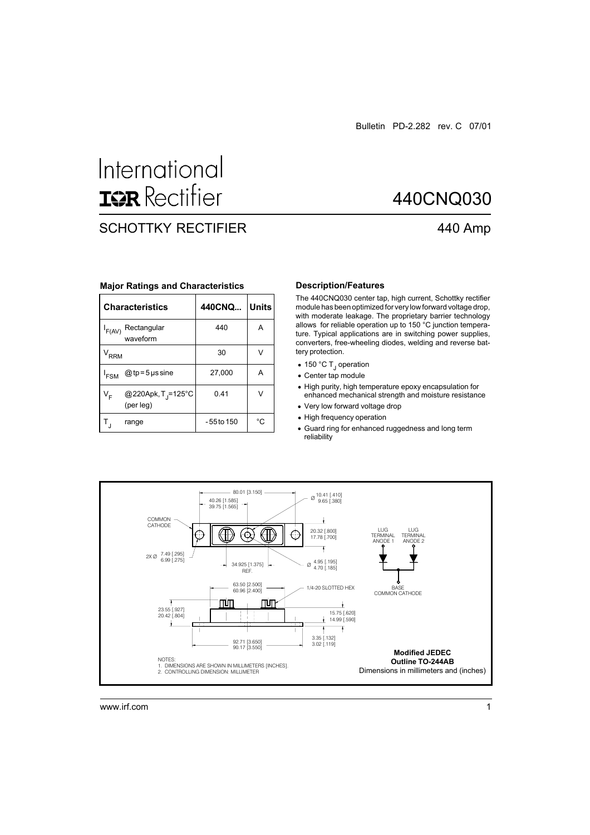440CNQ030

440 Amp

# International **ISR** Rectifier

## SCHOTTKY RECTIFIER

|                  | <b>Characteristics</b>                      | 440CNQ     | <b>Units</b> |  |
|------------------|---------------------------------------------|------------|--------------|--|
| F(AV)            | Rectangular<br>waveform                     | 440        | A            |  |
| V <sub>RRM</sub> |                                             | 30         | V            |  |
| <sup>I</sup> FSM | $@tp = 5$ µs sine                           | 27,000     | Α            |  |
| V <sub>F</sub>   | @220Apk, T <sub>J</sub> =125°C<br>(per leg) | 0.41       |              |  |
|                  | range                                       | -55 to 150 | °C           |  |

#### **Major Ratings and Characteristics**

#### **Description/Features**

The 440CNQ030 center tap, high current, Schottky rectifier module has been optimized for very low forward voltage drop, with moderate leakage. The proprietary barrier technology allows for reliable operation up to 150 °C junction temperature. Typical applications are in switching power supplies, converters, free-wheeling diodes, welding and reverse battery protection.

- 150 °C T<sub>J</sub> operation
- Center tap module
- High purity, high temperature epoxy encapsulation for enhanced mechanical strength and moisture resistance
- Very low forward voltage drop
- High frequency operation
- Guard ring for enhanced ruggedness and long term reliability

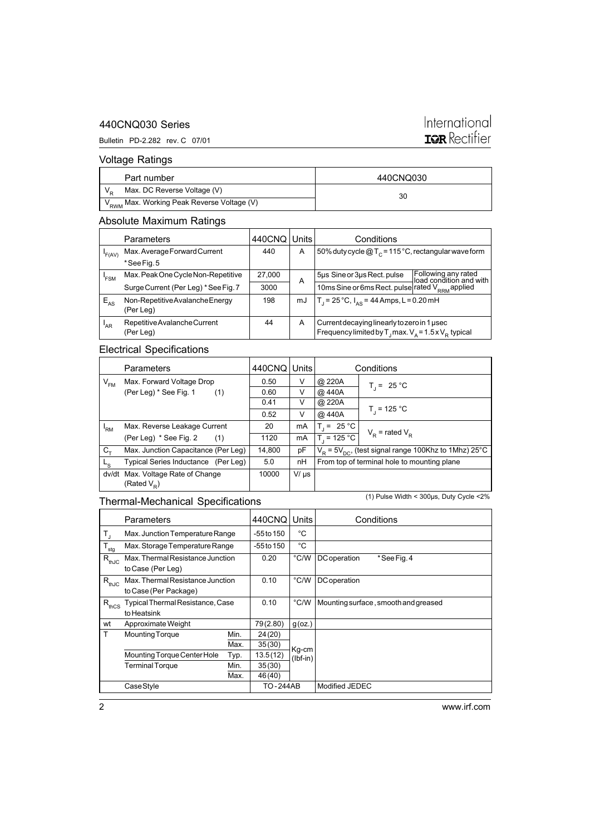#### 440CNQ030 Series

#### Bulletin PD-2.282 rev. C 07/01

# International **IGR** Rectifier

### Voltage Ratings

| Part number                                            | 440CNQ030 |
|--------------------------------------------------------|-----------|
| Max. DC Reverse Voltage (V)                            | 30        |
| V <sub>RWM</sub> Max. Working Peak Reverse Voltage (V) |           |

### Absolute Maximum Ratings

|          | Parameters                                   | 440CNQ Units |    | Conditions                                                                                                             |                                                |  |
|----------|----------------------------------------------|--------------|----|------------------------------------------------------------------------------------------------------------------------|------------------------------------------------|--|
| F(AV)    | Max. Average Forward Current                 | 440          | A  | 50% duty cycle $@T_c = 115 °C$ , rectangular wave form                                                                 |                                                |  |
|          | *See Fig. 5                                  |              |    |                                                                                                                        |                                                |  |
| 'FSM     | Max. Peak One Cycle Non-Repetitive           | 27,000       | A  | 5µs Sine or 3µs Rect. pulse                                                                                            | Following any rated<br>load condition and with |  |
|          | Surge Current (Per Leg) * See Fig. 7         | 3000         |    | 10ms Sine or 6ms Rect. pulse rated V <sub>RRM</sub> applied                                                            |                                                |  |
| $E_{AS}$ | Non-Repetitive Avalanche Energy<br>(Per Leg) | 198          | mJ | T <sub>1</sub> = 25 °C, $I_{AS}$ = 44 Amps, L = 0.20 mH                                                                |                                                |  |
| 'AR      | Repetitive Avalanche Current<br>(Per Leg)    | 44           | A  | Current decaying linearly to zero in 1 usec<br>Frequency limited by T <sub>1</sub> max. $V_a = 1.5 \times V_p$ typical |                                                |  |

## Electrical Specifications

| <b>Parameters</b> |                                               | 440CNQ | Units     | Conditions                                                             |                     |  |
|-------------------|-----------------------------------------------|--------|-----------|------------------------------------------------------------------------|---------------------|--|
| $V_{FM}$          | Max. Forward Voltage Drop                     | 0.50   | v         | @ 220A                                                                 | $T_i = 25 °C$       |  |
|                   | (Per Leg) * See Fig. 1<br>(1)                 | 0.60   | V         | @ 440A                                                                 |                     |  |
|                   |                                               | 0.41   | V         | @ 220A                                                                 |                     |  |
|                   |                                               | 0.52   | V         | @ 440A                                                                 | $T_{1}$ = 125 °C    |  |
| 'RM               | Max. Reverse Leakage Current                  | 20     | mA        | $T = 25 °C$                                                            | $V_p$ = rated $V_p$ |  |
|                   | (Per Leg) * See Fig. 2<br>(1)                 | 1120   | mA        | $T_{1}$ = 125 °C                                                       |                     |  |
| $C_{+}$           | Max. Junction Capacitance (Per Leg)           | 14,800 | pF        | $V_{\rm p}$ = 5 $V_{\rm DC}$ , (test signal range 100Khz to 1Mhz) 25°C |                     |  |
| $L_{\rm S}$       | Typical Series Inductance (Per Leg)           | 5.0    | nН        | From top of terminal hole to mounting plane                            |                     |  |
| dv/dt             | Max. Voltage Rate of Change<br>(Rated $V_p$ ) | 10000  | $V/\mu s$ |                                                                        |                     |  |

### Thermal-Mechanical Specifications

(1) Pulse Width < 300µs, Duty Cycle <2%

|                  | Parameters                                                |      | 440CNQ          | Units         | Conditions                           |
|------------------|-----------------------------------------------------------|------|-----------------|---------------|--------------------------------------|
| $T_{\rm J}$      | Max. Junction Temperature Range                           |      | $-55$ to 150    | °C            |                                      |
| $T_{\text{stg}}$ | Max. Storage Temperature Range                            |      | $-55$ to 150    | °C            |                                      |
| $R_{thJC}$       | Max. Thermal Resistance Junction<br>to Case (Per Leg)     |      | 0.20            | $\degree$ C/W | DC operation<br>*See Fig. 4          |
| $R_{thJC}$       | Max. Thermal Resistance Junction<br>to Case (Per Package) |      | 0.10            | °C/W          | DC operation                         |
| $R_{thCS}$       | Typical Thermal Resistance, Case<br>to Heatsink           |      | 0.10            | $\degree$ C/W | Mounting surface, smooth and greased |
| wt               | Approximate Weight                                        |      | 79(2.80)        | $g$ (oz.)     |                                      |
| T                | <b>Mounting Torque</b>                                    | Min. | 24(20)          |               |                                      |
|                  |                                                           | Max. | 35(30)          | Kg-cm         |                                      |
|                  | Mounting Torque Center Hole                               | Typ. | 13.5(12)        | $(lbf-in)$    |                                      |
|                  | <b>Terminal Torque</b>                                    | Min. | 35(30)          |               |                                      |
|                  |                                                           | Max. | 46(40)          |               |                                      |
|                  | Case Style                                                |      | <b>TO-244AB</b> |               | Modified JEDEC                       |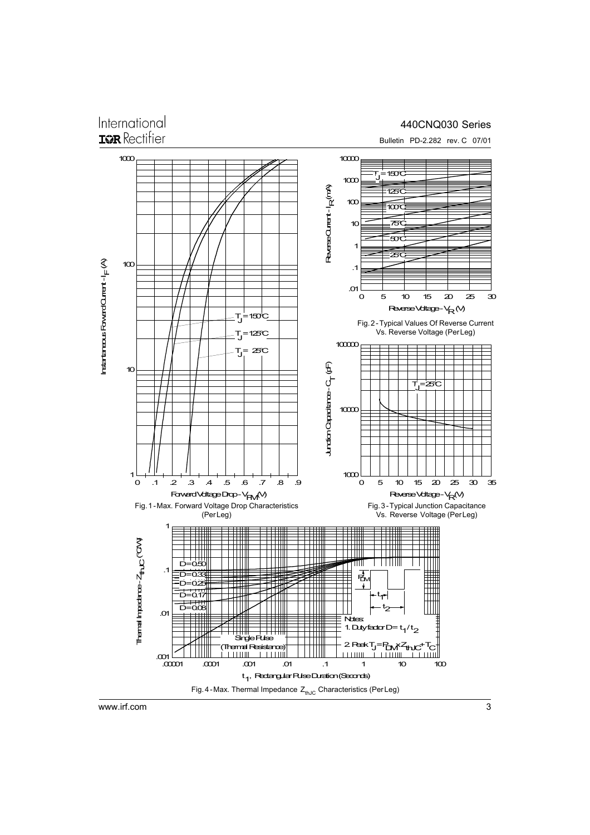## International **ISR** Rectifier

#### 440CNQ030 Series



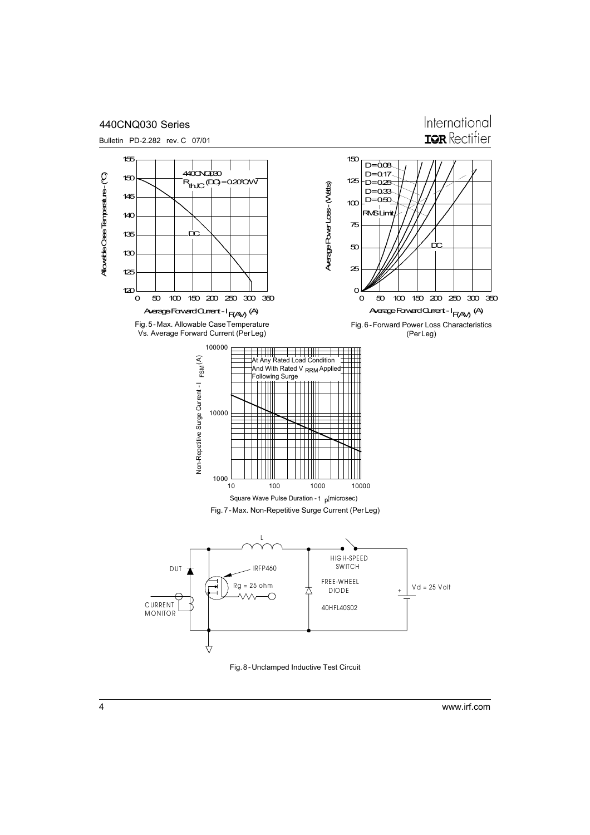